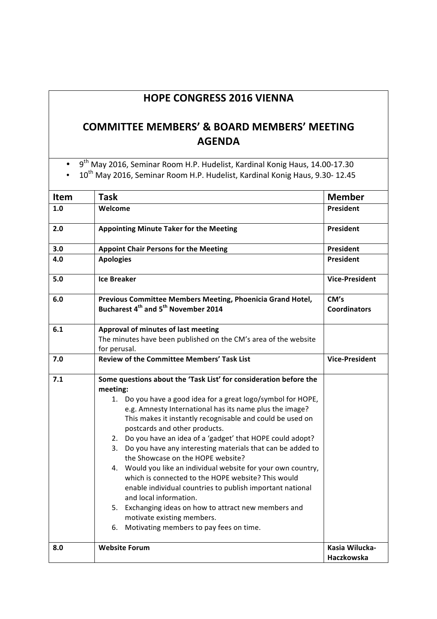## **HOPE CONGRESS 2016 VIENNA**

## **COMMITTEE MEMBERS' & BOARD MEMBERS' MEETING AGENDA**

• 9<sup>th</sup> May 2016, Seminar Room H.P. Hudelist, Kardinal Konig Haus, 14.00-17.30

• 10<sup>th</sup> May 2016, Seminar Room H.P. Hudelist, Kardinal Konig Haus, 9.30- 12.45

| <b>President</b><br>1.0<br>Welcome<br>President<br>2.0<br><b>Appointing Minute Taker for the Meeting</b><br>President<br>3.0<br><b>Appoint Chair Persons for the Meeting</b><br><b>President</b><br>4.0<br><b>Apologies</b><br>5.0<br><b>Ice Breaker</b><br>6.0<br>Previous Committee Members Meeting, Phoenicia Grand Hotel,<br>CM's<br>Bucharest 4 <sup>th</sup> and 5 <sup>th</sup> November 2014<br>6.1<br>Approval of minutes of last meeting<br>The minutes have been published on the CM's area of the website<br>for perusal.<br><b>Review of the Committee Members' Task List</b><br>7.0<br><b>Vice-President</b><br>7.1<br>Some questions about the 'Task List' for consideration before the<br>meeting:<br>1. Do you have a good idea for a great logo/symbol for HOPE,<br>e.g. Amnesty International has its name plus the image?<br>This makes it instantly recognisable and could be used on<br>postcards and other products.<br>2. Do you have an idea of a 'gadget' that HOPE could adopt?<br>3. Do you have any interesting materials that can be added to<br>the Showcase on the HOPE website?<br>4. Would you like an individual website for your own country,<br>which is connected to the HOPE website? This would<br>enable individual countries to publish important national<br>and local information.<br>5. Exchanging ideas on how to attract new members and<br>motivate existing members.<br>Motivating members to pay fees on time.<br>6.<br>Kasia Wilucka-<br>8.0<br><b>Website Forum</b> | <b>Item</b> | <b>Task</b> | <b>Member</b>         |
|-------------------------------------------------------------------------------------------------------------------------------------------------------------------------------------------------------------------------------------------------------------------------------------------------------------------------------------------------------------------------------------------------------------------------------------------------------------------------------------------------------------------------------------------------------------------------------------------------------------------------------------------------------------------------------------------------------------------------------------------------------------------------------------------------------------------------------------------------------------------------------------------------------------------------------------------------------------------------------------------------------------------------------------------------------------------------------------------------------------------------------------------------------------------------------------------------------------------------------------------------------------------------------------------------------------------------------------------------------------------------------------------------------------------------------------------------------------------------------------------------------------------------|-------------|-------------|-----------------------|
|                                                                                                                                                                                                                                                                                                                                                                                                                                                                                                                                                                                                                                                                                                                                                                                                                                                                                                                                                                                                                                                                                                                                                                                                                                                                                                                                                                                                                                                                                                                         |             |             |                       |
|                                                                                                                                                                                                                                                                                                                                                                                                                                                                                                                                                                                                                                                                                                                                                                                                                                                                                                                                                                                                                                                                                                                                                                                                                                                                                                                                                                                                                                                                                                                         |             |             |                       |
|                                                                                                                                                                                                                                                                                                                                                                                                                                                                                                                                                                                                                                                                                                                                                                                                                                                                                                                                                                                                                                                                                                                                                                                                                                                                                                                                                                                                                                                                                                                         |             |             |                       |
|                                                                                                                                                                                                                                                                                                                                                                                                                                                                                                                                                                                                                                                                                                                                                                                                                                                                                                                                                                                                                                                                                                                                                                                                                                                                                                                                                                                                                                                                                                                         |             |             |                       |
|                                                                                                                                                                                                                                                                                                                                                                                                                                                                                                                                                                                                                                                                                                                                                                                                                                                                                                                                                                                                                                                                                                                                                                                                                                                                                                                                                                                                                                                                                                                         |             |             | <b>Vice-President</b> |
|                                                                                                                                                                                                                                                                                                                                                                                                                                                                                                                                                                                                                                                                                                                                                                                                                                                                                                                                                                                                                                                                                                                                                                                                                                                                                                                                                                                                                                                                                                                         |             |             | <b>Coordinators</b>   |
|                                                                                                                                                                                                                                                                                                                                                                                                                                                                                                                                                                                                                                                                                                                                                                                                                                                                                                                                                                                                                                                                                                                                                                                                                                                                                                                                                                                                                                                                                                                         |             |             |                       |
|                                                                                                                                                                                                                                                                                                                                                                                                                                                                                                                                                                                                                                                                                                                                                                                                                                                                                                                                                                                                                                                                                                                                                                                                                                                                                                                                                                                                                                                                                                                         |             |             |                       |
|                                                                                                                                                                                                                                                                                                                                                                                                                                                                                                                                                                                                                                                                                                                                                                                                                                                                                                                                                                                                                                                                                                                                                                                                                                                                                                                                                                                                                                                                                                                         |             |             |                       |
|                                                                                                                                                                                                                                                                                                                                                                                                                                                                                                                                                                                                                                                                                                                                                                                                                                                                                                                                                                                                                                                                                                                                                                                                                                                                                                                                                                                                                                                                                                                         |             |             |                       |
|                                                                                                                                                                                                                                                                                                                                                                                                                                                                                                                                                                                                                                                                                                                                                                                                                                                                                                                                                                                                                                                                                                                                                                                                                                                                                                                                                                                                                                                                                                                         |             |             |                       |
|                                                                                                                                                                                                                                                                                                                                                                                                                                                                                                                                                                                                                                                                                                                                                                                                                                                                                                                                                                                                                                                                                                                                                                                                                                                                                                                                                                                                                                                                                                                         |             |             |                       |
|                                                                                                                                                                                                                                                                                                                                                                                                                                                                                                                                                                                                                                                                                                                                                                                                                                                                                                                                                                                                                                                                                                                                                                                                                                                                                                                                                                                                                                                                                                                         |             |             | <b>Haczkowska</b>     |